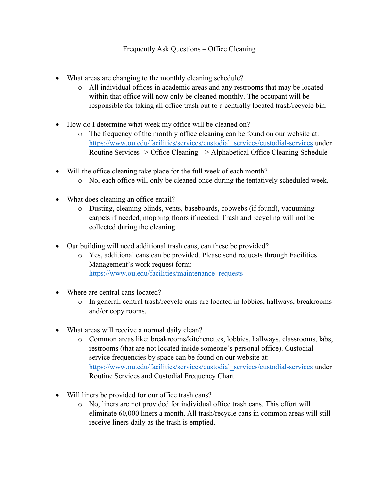## Frequently Ask Questions – Office Cleaning

- What areas are changing to the monthly cleaning schedule?
	- o All individual offices in academic areas and any restrooms that may be located within that office will now only be cleaned monthly. The occupant will be responsible for taking all office trash out to a centrally located trash/recycle bin.
- How do I determine what week my office will be cleaned on?
	- o The frequency of the monthly office cleaning can be found on our website at: [https://www.ou.edu/facilities/services/custodial\\_services/custodial-services](https://www.ou.edu/facilities/services/custodial_services/custodial-services) under Routine Services--> Office Cleaning --> Alphabetical Office Cleaning Schedule
- Will the office cleaning take place for the full week of each month?
	- o No, each office will only be cleaned once during the tentatively scheduled week.
- What does cleaning an office entail?
	- o Dusting, cleaning blinds, vents, baseboards, cobwebs (if found), vacuuming carpets if needed, mopping floors if needed. Trash and recycling will not be collected during the cleaning.
- Our building will need additional trash cans, can these be provided?
	- o Yes, additional cans can be provided. Please send requests through Facilities Management's work request form: [https://www.ou.edu/facilities/maintenance\\_requests](https://www.ou.edu/facilities/maintenance_requests)
- Where are central cans located?
	- o In general, central trash/recycle cans are located in lobbies, hallways, breakrooms and/or copy rooms.
- What areas will receive a normal daily clean?
	- o Common areas like: breakrooms/kitchenettes, lobbies, hallways, classrooms, labs, restrooms (that are not located inside someone's personal office). Custodial service frequencies by space can be found on our website at: [https://www.ou.edu/facilities/services/custodial\\_services/custodial-services](https://www.ou.edu/facilities/services/custodial_services/custodial-services) under Routine Services and Custodial Frequency Chart
- Will liners be provided for our office trash cans?
	- o No, liners are not provided for individual office trash cans. This effort will eliminate 60,000 liners a month. All trash/recycle cans in common areas will still receive liners daily as the trash is emptied.